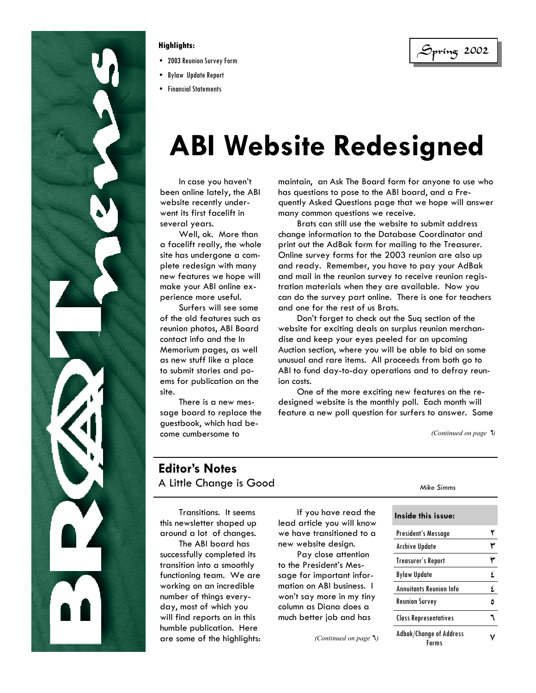

- 2003 Reunion Survey Form
- Bylaw Update Report
- Financial Statements

Spring 2002 **Highlights:** 

# **ABI Website Redesigned**

 In case you haven't been online lately, the ABI website recently underwent its first facelift in several years.

 Well, ok. More than a facelift really, the whole site has undergone a complete redesign with many new features we hope will make your ABI online experience more useful.

 Surfers will see some of the old features such as reunion photos, ABI Board contact info and the In Memorium pages, as well as new stuff like a place to submit stories and poems for publication on the site.

 There is a new message board to replace the guestbook, which had become cumbersome to

maintain, an Ask The Board form for anyone to use who has questions to pose to the ABI board, and a Frequently Asked Questions page that we hope will answer many common questions we receive.

 Brats can still use the website to submit address change information to the Database Coordinator and print out the AdBak form for mailing to the Treasurer. Online survey forms for the 2003 reunion are also up and ready. Remember, you have to pay your AdBak and mail in the reunion survey to receive reunion registration materials when they are available. Now you can do the survey part online. There is one for teachers and one for the rest of us Brats.

 Don't forget to check out the Suq section of the website for exciting deals on surplus reunion merchandise and keep your eyes peeled for an upcoming Auction section, where you will be able to bid on some unusual and rare items. All proceeds from both go to ABI to fund day-to-day operations and to defray reunion costs.

 One of the more exciting new features on the redesigned website is the monthly poll. Each month will feature a new poll question for surfers to answer. Some

*(Continued on page*  $\overline{1}$ *)* 

## **Editor's Notes**  A Little Change is Good

 Transitions. It seems this newsletter shaped up around a lot of changes.

 The ABI board has successfully completed its transition into a smoothly functioning team. We are working on an incredible number of things everyday, most of which you will find reports on in this humble publication. Here are some of the highlights:

 If you have read the lead article you will know we have transitioned to a new website design.

 Pay close attention to the President's Message for important information on ABI business. I won't say more in my tiny column as Diana does a much better job and has

*(Continued on page* 6*)* 

| Inside this issue:                      |    |  |  |
|-----------------------------------------|----|--|--|
| President's Message                     |    |  |  |
| Archive Update                          |    |  |  |
| <b>Treasurer's Report</b>               |    |  |  |
| <b>Bylaw Update</b>                     | ٤  |  |  |
| <b>Annuitants Reunion Info</b>          | ۶. |  |  |
| <b>Reunion Survey</b>                   |    |  |  |
| <b>Class Representatives</b>            |    |  |  |
| <b>Adbak/Change of Address</b><br>Forms |    |  |  |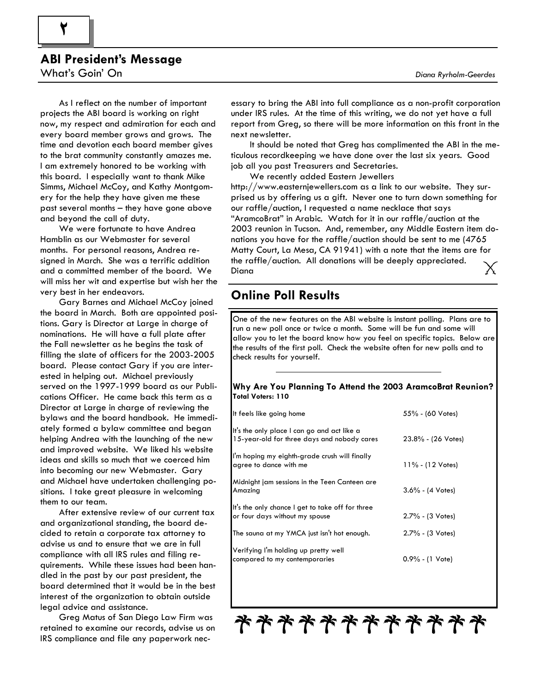## **ABI President's Message**

What's Goin' On

**2** 

 As I reflect on the number of important projects the ABI board is working on right now, my respect and admiration for each and every board member grows and grows. The time and devotion each board member gives to the brat community constantly amazes me. I am extremely honored to be working with this board. I especially want to thank Mike Simms, Michael McCoy, and Kathy Montgomery for the help they have given me these past several months – they have gone above and beyond the call of duty.

 We were fortunate to have Andrea Hamblin as our Webmaster for several months. For personal reasons, Andrea resigned in March. She was a terrific addition and a committed member of the board. We will miss her wit and expertise but wish her the very best in her endeavors.

 Gary Barnes and Michael McCoy joined the board in March. Both are appointed positions. Gary is Director at Large in charge of nominations. He will have a full plate after the Fall newsletter as he begins the task of filling the slate of officers for the 2003-2005 board. Please contact Gary if you are interested in helping out. Michael previously served on the 1997-1999 board as our Publications Officer. He came back this term as a Director at Large in charge of reviewing the bylaws and the board handbook. He immediately formed a bylaw committee and began helping Andrea with the launching of the new and improved website. We liked his website ideas and skills so much that we coerced him into becoming our new Webmaster. Gary and Michael have undertaken challenging positions. I take great pleasure in welcoming them to our team.

 After extensive review of our current tax and organizational standing, the board decided to retain a corporate tax attorney to advise us and to ensure that we are in full compliance with all IRS rules and filing requirements. While these issues had been handled in the past by our past president, the board determined that it would be in the best interest of the organization to obtain outside legal advice and assistance.

 Greg Matus of San Diego Law Firm was retained to examine our records, advise us on IRS compliance and file any paperwork necessary to bring the ABI into full compliance as a non-profit corporation under IRS rules. At the time of this writing, we do not yet have a full report from Greg, so there will be more information on this front in the next newsletter.

 It should be noted that Greg has complimented the ABI in the meticulous recordkeeping we have done over the last six years. Good job all you past Treasurers and Secretaries.

We recently added Eastern Jewellers

http://www.easternjewellers.com as a link to our website. They surprised us by offering us a gift. Never one to turn down something for our raffle/auction, I requested a name necklace that says "AramcoBrat" in Arabic. Watch for it in our raffle/auction at the 2003 reunion in Tucson. And, remember, any Middle Eastern item donations you have for the raffle/auction should be sent to me (4765 Matty Court, La Mesa, CA 91941) with a note that the items are for the raffle/auction. All donations will be deeply appreciated. Diana

## **Online Poll Results**

One of the new features on the ABI website is instant polling. Plans are to run a new poll once or twice a month. Some will be fun and some will allow you to let the board know how you feel on specific topics. Below are the results of the first poll. Check the website often for new polls and to check results for yourself.

#### **Why Are You Planning To Attend the 2003 AramcoBrat Reunion? Total Voters: 110**

| It feels like going home                                                                   | 55% - (60 Votes)           |
|--------------------------------------------------------------------------------------------|----------------------------|
| It's the only place I can go and act like a<br>15-year-old for three days and nobody cares | $23.8\%$ - (26 Votes)      |
| I'm hoping my eighth-grade crush will finally<br>agree to dance with me                    | $11\% - (12 Votes)$        |
| Midnight jam sessions in the Teen Canteen are<br>Amazing                                   | $3.6\% - (4 Votes)$        |
| It's the only chance I get to take off for three<br>or four days without my spouse         | 2.7% - (3 Votes)           |
| The sauna at my YMCA just isn't hot enough.                                                | 2.7% - (3 Votes)           |
| Verifying I'm holding up pretty well<br>compared to my contemporaries                      | $0.9\% - (1 \text{ Vote})$ |

\*\*\*\*\*\*\*\*\*\*\*\*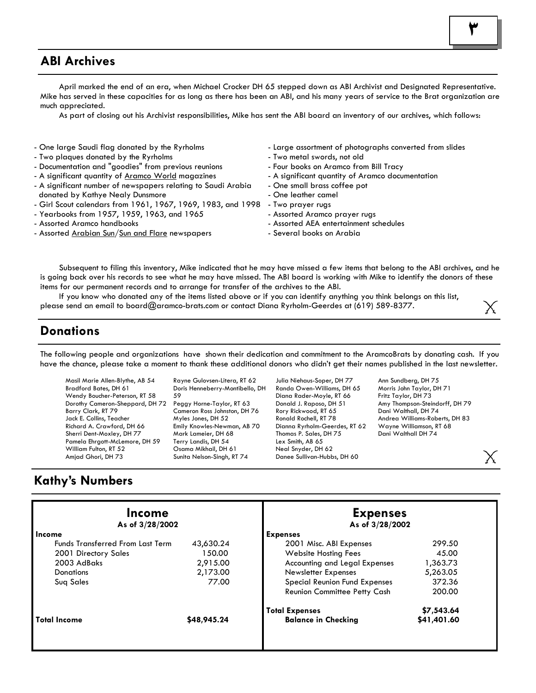## **ABI Archives**

 April marked the end of an era, when Michael Crocker DH 65 stepped down as ABI Archivist and Designated Representative. Mike has served in these capacities for as long as there has been an ABI, and his many years of service to the Brat organization are much appreciated.

As part of closing out his Archivist responsibilities, Mike has sent the ABI board an inventory of our archives, which follows:

- One large Saudi flag donated by the Ryrholms
- Two plaques donated by the Ryrholms
- Documentation and "goodies" from previous reunions
- A significant quantity of Aramco World magazines
- A significant number of newspapers relating to Saudi Arabia donated by Kathye Nealy Dunsmore
- Girl Scout calendars from 1961, 1967, 1969, 1983, and 1998 Two prayer rugs
- Yearbooks from 1957, 1959, 1963, and 1965
- Assorted Aramco handbooks
- Assorted Arabian Sun/Sun and Flare newspapers
- Large assortment of photographs converted from slides
- Two metal swords, not old
- Four books on Aramco from Bill Tracy
- A significant quantity of Aramco documentation
- One small brass coffee pot
- One leather camel
- 
- Assorted Aramco prayer rugs
- Assorted AEA entertainment schedules
- Several books on Arabia

 Subsequent to filing this inventory, Mike indicated that he may have missed a few items that belong to the ABI archives, and he is going back over his records to see what he may have missed. The ABI board is working with Mike to identify the donors of these items for our permanent records and to arrange for transfer of the archives to the ABI.

 If you know who donated any of the items listed above or if you can identify anything you think belongs on this list, please send an email to board@aramco-brats.com or contact Diana Ryrholm-Geerdes at (619) 589-8377.

## **Donations**

The following people and organizations have shown their dedication and commitment to the AramcoBrats by donating cash. If you have the chance, please take a moment to thank these additional donors who didn't get their names published in the last newsletter.

Masil Marie Allen-Blythe, AB 54 Bradford Bates, DH 61 Wendy Boucher-Peterson, RT 58 Dorothy Cameron-Sheppard, DH 72 Barry Clark, RT 79 Jack E. Collins, Teacher Richard A. Crawford, DH 66 Sherri Dent-Moxley, DH 77 Pamela Ehrgott-McLemore, DH 59 William Fulton, RT 52 Amjad Ghori, DH 73

Rayne Gulovsen-Litera, RT 62 Doris Henneberry-Montibello, DH 59 Peggy Horne-Taylor, RT 63 Cameron Ross Johnston, DH 76 Myles Jones, DH 52 Emily Knowles-Newman, AB 70 Mark Lameier, DH 68 Terry Landis, DH 54 Osama Mikhail, DH 61 Sunita Nelson-Singh, RT 74

Julia Niehaus-Soper, DH 77 Randa Owen-Williams, DH 65 Diana Rader-Moyle, RT 66 Donald J. Raposo, DH 51 Rory Rickwood, RT 65 Ronald Rochell, RT 78 Dianna Ryrholm-Geerdes, RT 62 Thomas P. Sales, DH 75 Lex Smith, AB 65 Neal Snyder, DH 62 Danee Sullivan-Hubbs, DH 60

Ann Sundberg, DH 75 Morris John Taylor, DH 71 Fritz Taylor, DH 73 Amy Thompson-Steindorff, DH 79 Dani Walthall, DH 74 Andrea Williams-Roberts, DH 83 Wayne Williamson, RT 68 Dani Walthall DH 74

## **Kathy's Numbers**

| Income<br>As of 3/28/2002               |             | <b>Expenses</b><br>As of 3/28/2002  |             |  |
|-----------------------------------------|-------------|-------------------------------------|-------------|--|
| Income                                  |             | <b>Expenses</b>                     |             |  |
| <b>Funds Transferred From Last Term</b> | 43,630.24   | 2001 Misc. ABI Expenses             | 299.50      |  |
| 2001 Directory Sales                    | 150.00      | <b>Website Hosting Fees</b>         | 45.00       |  |
| 2003 AdBaks                             | 2,915.00    | Accounting and Legal Expenses       | 1,363.73    |  |
| <b>Donations</b>                        | 2,173.00    | Newsletter Expenses                 | 5,263.05    |  |
| Sug Sales                               | 77.00       | Special Reunion Fund Expenses       | 372.36      |  |
|                                         |             | <b>Reunion Committee Petty Cash</b> | 200.00      |  |
|                                         |             | <b>Total Expenses</b>               | \$7,543.64  |  |
| <b>Total Income</b>                     | \$48,945.24 | <b>Balance in Checking</b>          | \$41,401.60 |  |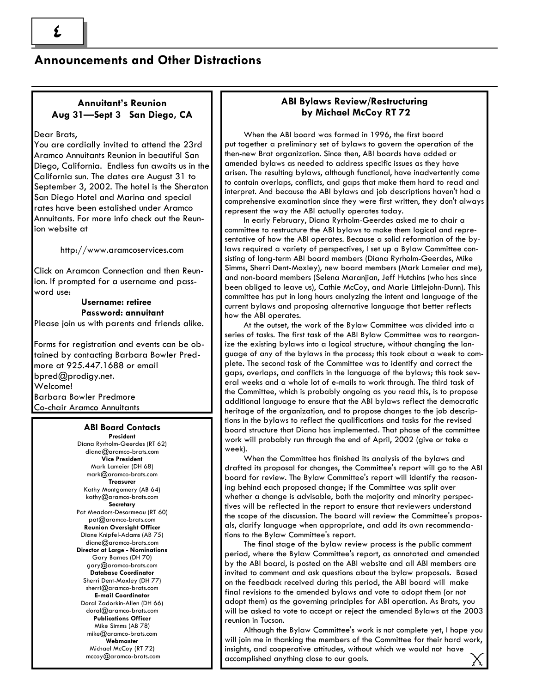## **Announcements and Other Distractions**

### **Annuitant's Reunion Aug 31—Sept 3 San Diego, CA**

#### Dear Brats,

You are cordially invited to attend the 23rd Aramco Annuitants Reunion in beautiful San Diego, California. Endless fun awaits us in the California sun. The dates are August 31 to September 3, 2002. The hotel is the Sheraton San Diego Hotel and Marina and special rates have been estalished under Aramco Annuitants. For more info check out the Reunion website at

http://www.aramcoservices.com

Click on Aramcon Connection and then Reunion. If prompted for a username and password use:

#### **Username: retiree Password: annuitant**  Please join us with parents and friends alike.

Forms for registration and events can be obtained by contacting Barbara Bowler Predmore at 925.447.1688 or email bpred@prodigy.net. Welcome! Barbara Bowler Predmore Co-chair Aramco Annuitants

#### **ABI Board Contacts President**

Diana Ryrholm-Geerdes (RT 62) diana@aramco-brats.com **Vice President** Mark Lameier (DH 68) mark@aramco-brats.com **Treasurer** Kathy Montgomery (AB 64) kathy@aramco-brats.com **Secretary** Pat Meadors-Desormeau (RT 60) pat@aramco-brats.com **Reunion Oversight Officer** Diane Knipfel-Adams (AB 75) diane@aramco-brats.com **Director at Large - Nominations**  Gary Barnes (DH 70) gary@aramco-brats.com **Database Coordinator** Sherri Dent-Moxley (DH 77) sherri@aramco-brats.com **E-mail Coordinator** Doral Zadorkin-Allen (DH 66) doral@aramco-brats.com **Publications Officer** Mike Simms (AB 78) mike@aramco-brats.com **Webmaster** Michael McCoy (RT 72) mccoy@aramco-brats.com

#### **ABI Bylaws Review/Restructuring by Michael McCoy RT 72**

 When the ABI board was formed in 1996, the first board put together a preliminary set of bylaws to govern the operation of the then-new Brat organization. Since then, ABI boards have added or amended bylaws as needed to address specific issues as they have arisen. The resulting bylaws, although functional, have inadvertently come to contain overlaps, conflicts, and gaps that make them hard to read and interpret. And because the ABI bylaws and job descriptions haven't had a comprehensive examination since they were first written, they don't always represent the way the ABI actually operates today.

 In early February, Diana Ryrholm-Geerdes asked me to chair a committee to restructure the ABI bylaws to make them logical and representative of how the ABI operates. Because a solid reformation of the bylaws required a variety of perspectives, I set up a Bylaw Committee consisting of long-term ABI board members (Diana Ryrholm-Geerdes, Mike Simms, Sherri Dent-Moxley), new board members (Mark Lameier and me), and non-board members (Selena Maranjian, Jeff Hutchins (who has since been obliged to leave us), Cathie McCoy, and Marie Littlejohn-Dunn). This committee has put in long hours analyzing the intent and language of the current bylaws and proposing alternative language that better reflects how the ABI operates.

 At the outset, the work of the Bylaw Committee was divided into a series of tasks. The first task of the ABI Bylaw Committee was to reorganize the existing bylaws into a logical structure, without changing the language of any of the bylaws in the process; this took about a week to complete. The second task of the Committee was to identify and correct the gaps, overlaps, and conflicts in the language of the bylaws; this took several weeks and a whole lot of e-mails to work through. The third task of the Committee, which is probably ongoing as you read this, is to propose additional language to ensure that the ABI bylaws reflect the democratic heritage of the organization, and to propose changes to the job descriptions in the bylaws to reflect the qualifications and tasks for the revised board structure that Diana has implemented. That phase of the committee work will probably run through the end of April, 2002 (give or take a week).

 When the Committee has finished its analysis of the bylaws and drafted its proposal for changes, the Committee's report will go to the ABI board for review. The Bylaw Committee's report will identify the reasoning behind each proposed change; if the Committee was split over whether a change is advisable, both the majority and minority perspectives will be reflected in the report to ensure that reviewers understand the scope of the discussion. The board will review the Committee's proposals, clarify language when appropriate, and add its own recommendations to the Bylaw Committee's report.

 The final stage of the bylaw review process is the public comment period, where the Bylaw Committee's report, as annotated and amended by the ABI board, is posted on the ABI website and all ABI members are invited to comment and ask questions about the bylaw proposals. Based on the feedback received during this period, the ABI board will make final revisions to the amended bylaws and vote to adopt them (or not adopt them) as the governing principles for ABI operation. As Brats, you will be asked to vote to accept or reject the amended Bylaws at the 2003 reunion in Tucson.

 Although the Bylaw Committee's work is not complete yet, I hope you will join me in thanking the members of the Committee for their hard work, insights, and cooperative attitudes, without which we would not have accomplished anything close to our goals.

**4**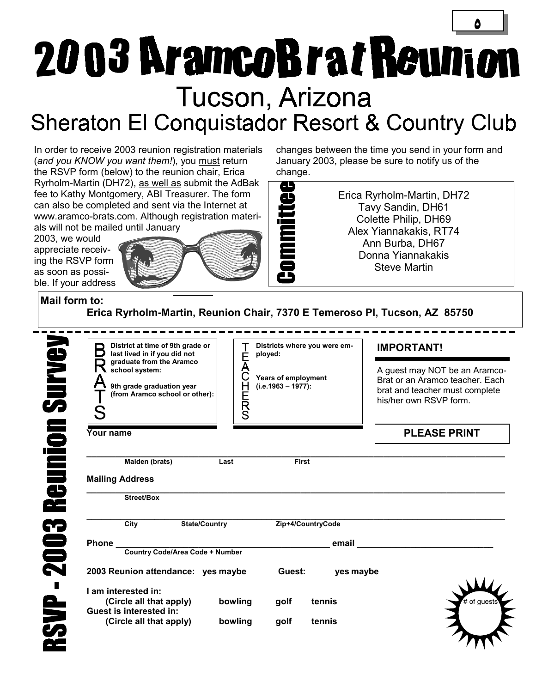# **5**  2003 AramcoBratReunion Tucson, Arizona Sheraton El Conquistador Resort & Country Club

 $- \mathsf{L}$ 

In order to receive 2003 reunion registration materials (*and you KNOW you want them!*), you must return the RSVP form (below) to the reunion chair, Erica Ryrholm-Martin (DH72), as well as submit the AdBak fee to Kathy Montgomery, ABI Treasurer. The form can also be completed and sent via the Internet at www.aramco-brats.com. Although registration materi-

2003, we would appreciate receiving the RSVP form as soon as possible. If your address



changes between the time you send in your form and January 2003, please be sure to notify us of the change.

> Erica Ryrholm-Martin, DH72 Tavy Sandin, DH61 Colette Philip, DH69 Alex Yiannakakis, RT74 Ann Burba, DH67 Donna Yiannakakis Steve Martin

**Mail form to:** 

**Erica Ryrholm-Martin, Reunion Chair, 7370 E Temeroso Pl, Tucson, AZ 85750** 

| District at time of 9th grade or<br>last lived in if you did not                                          |                            | Districts where you were em-<br>ployed:       |           | <b>IMPORTANT!</b>                                                                                                            |  |  |
|-----------------------------------------------------------------------------------------------------------|----------------------------|-----------------------------------------------|-----------|------------------------------------------------------------------------------------------------------------------------------|--|--|
| graduate from the Aramco<br>school system:<br>9th grade graduation year<br>(from Aramco school or other): | É<br>A<br>H<br>E<br>S<br>S | Years of employment<br>$(i.e. 1963 - 1977)$ : |           | A guest may NOT be an Aramco-<br>Brat or an Aramco teacher. Each<br>brat and teacher must complete<br>his/her own RSVP form. |  |  |
| Your name                                                                                                 |                            |                                               |           | <b>PLEASE PRINT</b>                                                                                                          |  |  |
| Maiden (brats)                                                                                            | Last                       | <b>First</b>                                  |           |                                                                                                                              |  |  |
| <b>Mailing Address</b>                                                                                    |                            |                                               |           |                                                                                                                              |  |  |
| <b>Street/Box</b>                                                                                         |                            |                                               |           |                                                                                                                              |  |  |
| <b>State/Country</b><br>City                                                                              |                            | Zip+4/CountryCode                             |           |                                                                                                                              |  |  |
| Phone_                                                                                                    |                            |                                               | email     |                                                                                                                              |  |  |
| <b>Country Code/Area Code + Number</b><br>2003 Reunion attendance: yes maybe                              |                            | Guest:                                        | yes maybe |                                                                                                                              |  |  |
| I am interested in:                                                                                       |                            |                                               |           |                                                                                                                              |  |  |
| (Circle all that apply)<br><b>Guest is interested in:</b>                                                 | bowling                    | golf                                          | tennis    | # of quests                                                                                                                  |  |  |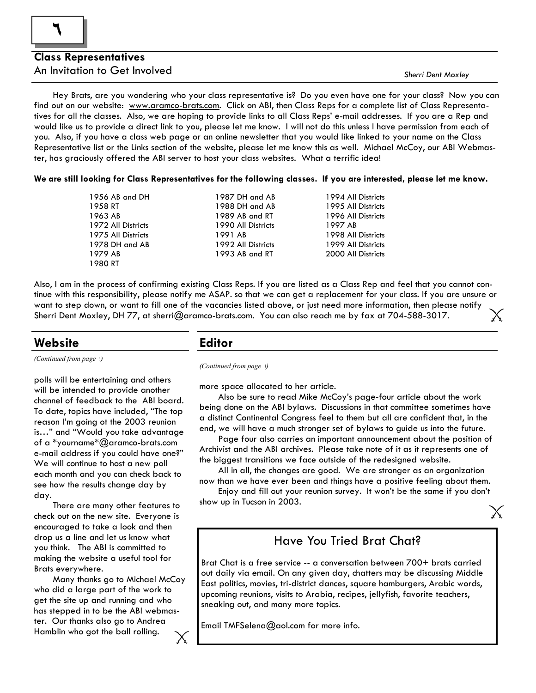### **Class Representatives**  An Invitation to Get Involved

*Sherri Dent Moxley* 

Х

 Hey Brats, are you wondering who your class representative is? Do you even have one for your class? Now you can find out on our website: www.aramco-brats.com. Click on ABI, then Class Reps for a complete list of Class Representatives for all the classes. Also, we are hoping to provide links to all Class Reps' e-mail addresses. If you are a Rep and would like us to provide a direct link to you, please let me know. I will not do this unless I have permission from each of you. Also, if you have a class web page or an online newsletter that you would like linked to your name on the Class Representative list or the Links section of the website, please let me know this as well. Michael McCoy, our ABI Webmaster, has graciously offered the ABI server to host your class websites. What a terrific idea!

**We are still looking for Class Representatives for the following classes. If you are interested, please let me know.** 

| 1956 AB and DH     | 1987 DH and AB     | 1994 All Districts |
|--------------------|--------------------|--------------------|
| 1958 RT            | 1988 DH and AB     | 1995 All Districts |
| 1963 AB            | 1989 AB and RT     | 1996 All Districts |
| 1972 All Districts | 1990 All Districts | 1997 AB            |
| 1975 All Districts | 1991 AB            | 1998 All Districts |
| 1978 DH and AB     | 1992 All Districts | 1999 All Districts |
| 1979 AB            | 1993 AB and RT     | 2000 All Districts |
| 1980 RT            |                    |                    |
|                    |                    |                    |

Also, I am in the process of confirming existing Class Reps. If you are listed as a Class Rep and feel that you cannot continue with this responsibility, please notify me ASAP. so that we can get a replacement for your class. If you are unsure or want to step down, or want to fill one of the vacancies listed above, or just need more information, then please notify Sherri Dent Moxley, DH 77, at sherri@aramco-brats.com. You can also reach me by fax at 704-588-3017.

## **Website Editor**

*(Continued from page* 1*)* 

polls will be entertaining and others will be intended to provide another channel of feedback to the ABI board. To date, topics have included, "The top reason I'm going ot the 2003 reunion is…" and "Would you take advantage of a \*yourname\*@aramco-brats.com e-mail address if you could have one?" We will continue to host a new poll each month and you can check back to see how the results change day by day.

 There are many other features to check out on the new site. Everyone is encouraged to take a look and then drop us a line and let us know what you think. The ABI is committed to making the website a useful tool for Brats everywhere.

 Many thanks go to Michael McCoy who did a large part of the work to get the site up and running and who has stepped in to be the ABI webmaster. Our thanks also go to Andrea Hamblin who got the ball rolling.

*(Continued from page* 1*)* 

more space allocated to her article.

 Also be sure to read Mike McCoy's page-four article about the work being done on the ABI bylaws. Discussions in that committee sometimes have a distinct Continental Congress feel to them but all are confident that, in the end, we will have a much stronger set of bylaws to guide us into the future.

 Page four also carries an important announcement about the position of Archivist and the ABI archives. Please take note of it as it represents one of the biggest transitions we face outside of the redesigned website.

 All in all, the changes are good. We are stronger as an organization now than we have ever been and things have a positive feeling about them.

 Enjoy and fill out your reunion survey. It won't be the same if you don't show up in Tucson in 2003.

## Have You Tried Brat Chat?

Brat Chat is a free service -- a conversation between 700+ brats carried out daily via email. On any given day, chatters may be discussing Middle East politics, movies, tri-district dances, square hamburgers, Arabic words, upcoming reunions, visits to Arabia, recipes, jellyfish, favorite teachers, sneaking out, and many more topics.

Email TMFSelena@aol.com for more info.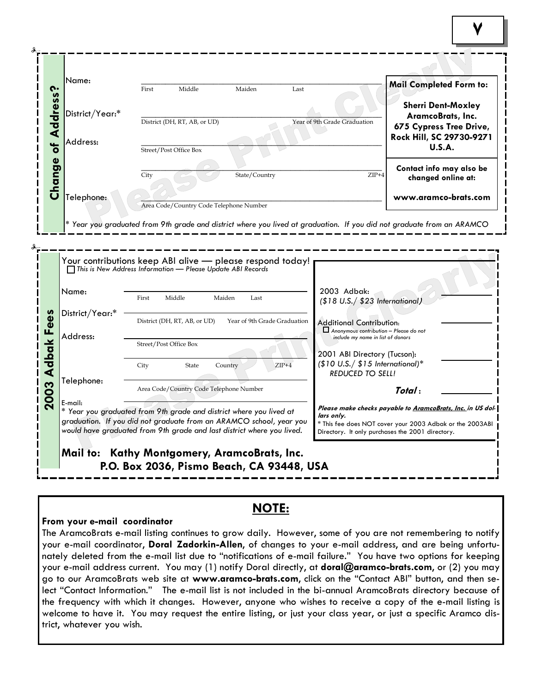|                      | Name:                                                                       |       |                                         |                              |                              |                                                                             |                                                                      |  |
|----------------------|-----------------------------------------------------------------------------|-------|-----------------------------------------|------------------------------|------------------------------|-----------------------------------------------------------------------------|----------------------------------------------------------------------|--|
|                      |                                                                             | First | Middle                                  | Maiden                       | Last                         |                                                                             | Mail Completed Form to:                                              |  |
| Address?             | District/Year:*                                                             |       | District (DH, RT, AB, or UD)            |                              | Year of 9th Grade Graduation |                                                                             | <b>Sherri Dent-Moxley</b><br>AramcoBrats, Inc.                       |  |
| $\overline{\bullet}$ | Address:                                                                    |       | Street/Post Office Box                  |                              |                              |                                                                             | 675 Cypress Tree Drive,<br>Rock Hill, SC 29730-9271<br><b>U.S.A.</b> |  |
|                      |                                                                             | City  |                                         | State/Country                |                              | $ZIP+4$                                                                     | Contact info may also be                                             |  |
| Change               | Telephone:                                                                  |       |                                         |                              |                              |                                                                             | changed online at:<br>www.aramco-brats.com                           |  |
|                      |                                                                             |       | Area Code/Country Code Telephone Number |                              |                              |                                                                             |                                                                      |  |
|                      | $\Box$ This is New Address Information — Please Update ABI Records<br>Name: | First | Middle                                  | Maiden<br>Last               |                              | 2003 Adbak:                                                                 |                                                                      |  |
| Fees                 | District/Year:*                                                             |       | District (DH, RT, AB, or UD)            | Year of 9th Grade Graduation |                              | (\$18 U.S./ \$23 International,<br>Additional Contribution:                 |                                                                      |  |
|                      | Address:                                                                    |       | Street/Post Office Box                  |                              |                              | Anonymous contribution - Please do not<br>include my name in list of donors |                                                                      |  |
|                      |                                                                             |       | State                                   | Country                      |                              | 2001 ABI Directory (Tucson):                                                |                                                                      |  |
|                      |                                                                             | City  |                                         |                              | $ZIP+4$                      | $($10 U.S./ $15 International)*$<br><b>REDUCED TO SELL!</b>                 |                                                                      |  |
| <b>Adbak</b><br>2003 | Telephone:                                                                  |       | Area Code/Country Code Telephone Number |                              |                              |                                                                             | Total:                                                               |  |

## **NOTE:**

#### **From your e-mail coordinator**

The AramcoBrats e-mail listing continues to grow daily. However, some of you are not remembering to notify your e-mail coordinator, **Doral Zadorkin-Allen**, of changes to your e-mail address, and are being unfortunately deleted from the e-mail list due to "notifications of e-mail failure." You have two options for keeping your e-mail address current. You may (1) notify Doral directly, at **doral@aramco-brats.com**, or (2) you may go to our AramcoBrats web site at **www.aramco-brats.com**, click on the "Contact ABI" button, and then select "Contact Information." The e-mail list is not included in the bi-annual AramcoBrats directory because of the frequency with which it changes. However, anyone who wishes to receive a copy of the e-mail listing is welcome to have it. You may request the entire listing, or just your class year, or just a specific Aramco district, whatever you wish.